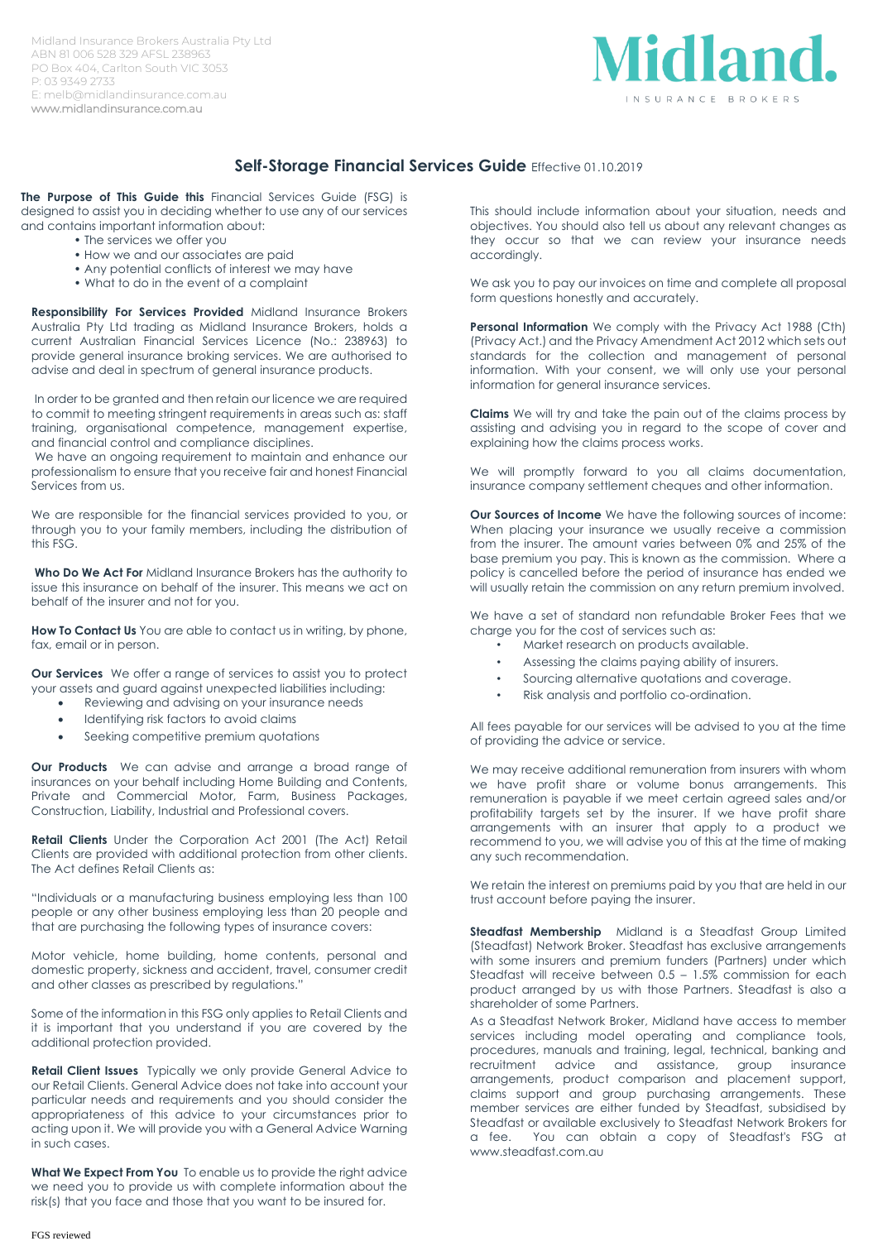Midland Insurance Brokers Australia Pty Ltd ABN 81 006 528 329 AFSL 238963 PO Box 404, Carlton South VIC 3053 P: 03 9349 2733 E: melb@midlandinsurance.com.au www.midlandinsurance.com.au



## **Self-Storage Financial Services Guide** Effective 01.10.2019

**The Purpose of This Guide this** Financial Services Guide (FSG) is designed to assist you in deciding whether to use any of our services and contains important information about:

- The services we offer you
- How we and our associates are paid
- Any potential conflicts of interest we may have
- What to do in the event of a complaint

**Responsibility For Services Provided** Midland Insurance Brokers Australia Pty Ltd trading as Midland Insurance Brokers, holds a current Australian Financial Services Licence (No.: 238963) to provide general insurance broking services. We are authorised to advise and deal in spectrum of general insurance products.

In order to be granted and then retain our licence we are required to commit to meeting stringent requirements in areas such as: staff training, organisational competence, management expertise, and financial control and compliance disciplines.

We have an ongoing requirement to maintain and enhance our professionalism to ensure that you receive fair and honest Financial Services from us.

We are responsible for the financial services provided to you, or through you to your family members, including the distribution of this FSG.

**Who Do We Act For** Midland Insurance Brokers has the authority to issue this insurance on behalf of the insurer. This means we act on behalf of the insurer and not for you.

**How To Contact Us** You are able to contact us in writing, by phone, fax, email or in person.

**Our Services** We offer a range of services to assist you to protect your assets and guard against unexpected liabilities including:

- Reviewing and advising on your insurance needs
- Identifying risk factors to avoid claims
- Seeking competitive premium quotations

**Our Products** We can advise and arrange a broad range of insurances on your behalf including Home Building and Contents, Private and Commercial Motor, Farm, Business Packages, Construction, Liability, Industrial and Professional covers.

**Retail Clients** Under the Corporation Act 2001 (The Act) Retail Clients are provided with additional protection from other clients. The Act defines Retail Clients as:

"Individuals or a manufacturing business employing less than 100 people or any other business employing less than 20 people and that are purchasing the following types of insurance covers:

Motor vehicle, home building, home contents, personal and domestic property, sickness and accident, travel, consumer credit and other classes as prescribed by regulations."

Some of the information in this FSG only applies to Retail Clients and it is important that you understand if you are covered by the additional protection provided.

**Retail Client Issues** Typically we only provide General Advice to our Retail Clients. General Advice does not take into account your particular needs and requirements and you should consider the appropriateness of this advice to your circumstances prior to acting upon it. We will provide you with a General Advice Warning in such cases.

**What We Expect From You** To enable us to provide the right advice we need you to provide us with complete information about the risk(s) that you face and those that you want to be insured for.

This should include information about your situation, needs and objectives. You should also tell us about any relevant changes as they occur so that we can review your insurance needs accordingly.

We ask you to pay our invoices on time and complete all proposal form questions honestly and accurately.

**Personal Information** We comply with the Privacy Act 1988 (Cth) (Privacy Act.) and the Privacy Amendment Act 2012 which sets out standards for the collection and management of personal information. With your consent, we will only use your personal information for general insurance services.

**Claims** We will try and take the pain out of the claims process by assisting and advising you in regard to the scope of cover and explaining how the claims process works.

We will promptly forward to you all claims documentation, insurance company settlement cheques and other information.

**Our Sources of Income** We have the following sources of income: When placing your insurance we usually receive a commission from the insurer. The amount varies between 0% and 25% of the base premium you pay. This is known as the commission. Where a policy is cancelled before the period of insurance has ended we will usually retain the commission on any return premium involved.

We have a set of standard non refundable Broker Fees that we charge you for the cost of services such as:

- Market research on products available.
- Assessing the claims paying ability of insurers.
- Sourcing alternative quotations and coverage.
- Risk analysis and portfolio co-ordination.

All fees payable for our services will be advised to you at the time of providing the advice or service.

We may receive additional remuneration from insurers with whom we have profit share or volume bonus arrangements. This remuneration is payable if we meet certain agreed sales and/or profitability targets set by the insurer. If we have profit share arrangements with an insurer that apply to a product we recommend to you, we will advise you of this at the time of making any such recommendation.

We retain the interest on premiums paid by you that are held in our trust account before paying the insurer.

**Steadfast Membership** Midland is a Steadfast Group Limited (Steadfast) Network Broker. Steadfast has exclusive arrangements with some insurers and premium funders (Partners) under which Steadfast will receive between 0.5 – 1.5% commission for each product arranged by us with those Partners. Steadfast is also a shareholder of some Partners.

As a Steadfast Network Broker, Midland have access to member services including model operating and compliance tools, procedures, manuals and training, legal, technical, banking and recruitment advice and assistance, group insurance arrangements, product comparison and placement support, claims support and group purchasing arrangements. These member services are either funded by Steadfast, subsidised by Steadfast or available exclusively to Steadfast Network Brokers for a fee. You can obtain a copy of Steadfast's FSG at www.steadfast.com.au